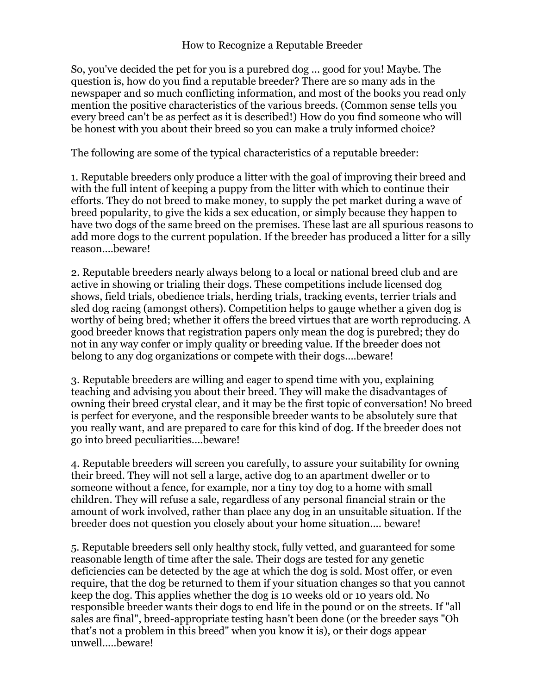So, you've decided the pet for you is a purebred dog ... good for you! Maybe. The question is, how do you find a reputable breeder? There are so many ads in the newspaper and so much conflicting information, and most of the books you read only mention the positive characteristics of the various breeds. (Common sense tells you every breed can't be as perfect as it is described!) How do you find someone who will be honest with you about their breed so you can make a truly informed choice?

The following are some of the typical characteristics of a reputable breeder:

1. Reputable breeders only produce a litter with the goal of improving their breed and with the full intent of keeping a puppy from the litter with which to continue their efforts. They do not breed to make money, to supply the pet market during a wave of breed popularity, to give the kids a sex education, or simply because they happen to have two dogs of the same breed on the premises. These last are all spurious reasons to add more dogs to the current population. If the breeder has produced a litter for a silly reason....beware!

2. Reputable breeders nearly always belong to a local or national breed club and are active in showing or trialing their dogs. These competitions include licensed dog shows, field trials, obedience trials, herding trials, tracking events, terrier trials and sled dog racing (amongst others). Competition helps to gauge whether a given dog is worthy of being bred; whether it offers the breed virtues that are worth reproducing. A good breeder knows that registration papers only mean the dog is purebred; they do not in any way confer or imply quality or breeding value. If the breeder does not belong to any dog organizations or compete with their dogs....beware!

3. Reputable breeders are willing and eager to spend time with you, explaining teaching and advising you about their breed. They will make the disadvantages of owning their breed crystal clear, and it may be the first topic of conversation! No breed is perfect for everyone, and the responsible breeder wants to be absolutely sure that you really want, and are prepared to care for this kind of dog. If the breeder does not go into breed peculiarities....beware!

4. Reputable breeders will screen you carefully, to assure your suitability for owning their breed. They will not sell a large, active dog to an apartment dweller or to someone without a fence, for example, nor a tiny toy dog to a home with small children. They will refuse a sale, regardless of any personal financial strain or the amount of work involved, rather than place any dog in an unsuitable situation. If the breeder does not question you closely about your home situation.... beware!

5. Reputable breeders sell only healthy stock, fully vetted, and guaranteed for some reasonable length of time after the sale. Their dogs are tested for any genetic deficiencies can be detected by the age at which the dog is sold. Most offer, or even require, that the dog be returned to them if your situation changes so that you cannot keep the dog. This applies whether the dog is 10 weeks old or 10 years old. No responsible breeder wants their dogs to end life in the pound or on the streets. If "all sales are final", breed-appropriate testing hasn't been done (or the breeder says "Oh that's not a problem in this breed" when you know it is), or their dogs appear unwell.....beware!